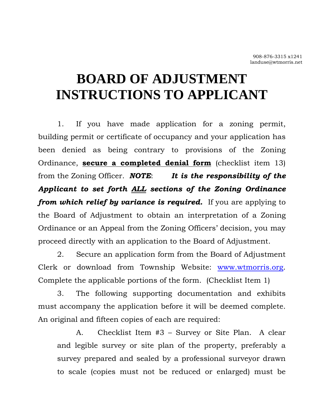## **BOARD OF ADJUSTMENT INSTRUCTIONS TO APPLICANT**

1. If you have made application for a zoning permit, building permit or certificate of occupancy and your application has been denied as being contrary to provisions of the Zoning Ordinance, **secure a completed denial form** (checklist item 13) from the Zoning Officer. *NOTE*: *It is the responsibility of the Applicant to set forth ALL sections of the Zoning Ordinance from which relief by variance is required.* If you are applying to the Board of Adjustment to obtain an interpretation of a Zoning Ordinance or an Appeal from the Zoning Officers' decision, you may proceed directly with an application to the Board of Adjustment.

2. Secure an application form from the Board of Adjustment Clerk or download from Township Website: www.wtmorris.org. Complete the applicable portions of the form. (Checklist Item 1)

3. The following supporting documentation and exhibits must accompany the application before it will be deemed complete. An original and fifteen copies of each are required:

A. Checklist Item #3 – Survey or Site Plan. A clear and legible survey or site plan of the property, preferably a survey prepared and sealed by a professional surveyor drawn to scale (copies must not be reduced or enlarged) must be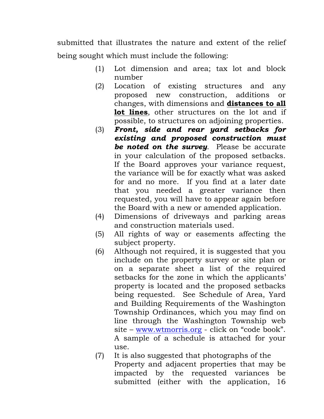submitted that illustrates the nature and extent of the relief being sought which must include the following:

- (1) Lot dimension and area; tax lot and block number
- (2) Location of existing structures and any proposed new construction, additions or changes, with dimensions and **distances to all lot lines**, other structures on the lot and if possible, to structures on adjoining properties.
- (3) *Front, side and rear yard setbacks for existing and proposed construction must be noted on the survey*. Please be accurate in your calculation of the proposed setbacks. If the Board approves your variance request, the variance will be for exactly what was asked for and no more. If you find at a later date that you needed a greater variance then requested, you will have to appear again before the Board with a new or amended application.
- (4) Dimensions of driveways and parking areas and construction materials used.
- (5) All rights of way or easements affecting the subject property.
- (6) Although not required, it is suggested that you include on the property survey or site plan or on a separate sheet a list of the required setbacks for the zone in which the applicants' property is located and the proposed setbacks being requested. See Schedule of Area, Yard and Building Requirements of the Washington Township Ordinances, which you may find on line through the Washington Township web site – www.wtmorris.org - click on "code book". A sample of a schedule is attached for your use.
- (7) It is also suggested that photographs of the Property and adjacent properties that may be impacted by the requested variances be submitted (either with the application, 16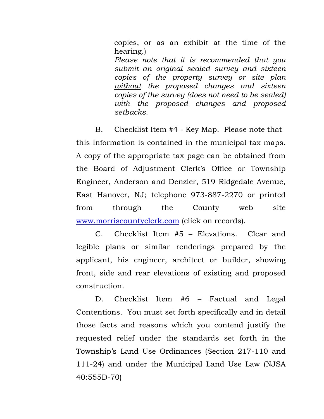copies, or as an exhibit at the time of the hearing.) *Please note that it is recommended that you submit an original sealed survey and sixteen copies of the property survey or site plan without the proposed changes and sixteen copies of the survey (does not need to be sealed) with the proposed changes and proposed setbacks*.

 B. Checklist Item #4 - Key Map. Please note that this information is contained in the municipal tax maps. A copy of the appropriate tax page can be obtained from the Board of Adjustment Clerk's Office or Township Engineer, Anderson and Denzler, 519 Ridgedale Avenue, East Hanover, NJ; telephone 973-887-2270 or printed from through the County web site www.morriscountyclerk.com (click on records).

C. Checklist Item #5 – Elevations. Clear and legible plans or similar renderings prepared by the applicant, his engineer, architect or builder, showing front, side and rear elevations of existing and proposed construction.

D. Checklist Item #6 – Factual and Legal Contentions. You must set forth specifically and in detail those facts and reasons which you contend justify the requested relief under the standards set forth in the Township's Land Use Ordinances (Section 217-110 and 111-24) and under the Municipal Land Use Law (NJSA 40:555D-70)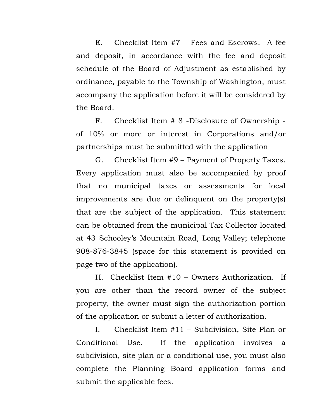E. Checklist Item #7 – Fees and Escrows. A fee and deposit, in accordance with the fee and deposit schedule of the Board of Adjustment as established by ordinance, payable to the Township of Washington, must accompany the application before it will be considered by the Board.

F. Checklist Item # 8 -Disclosure of Ownership of 10% or more or interest in Corporations and/or partnerships must be submitted with the application

G. Checklist Item #9 – Payment of Property Taxes. Every application must also be accompanied by proof that no municipal taxes or assessments for local improvements are due or delinquent on the property(s) that are the subject of the application. This statement can be obtained from the municipal Tax Collector located at 43 Schooley's Mountain Road, Long Valley; telephone 908-876-3845 (space for this statement is provided on page two of the application).

H. Checklist Item #10 – Owners Authorization. If you are other than the record owner of the subject property, the owner must sign the authorization portion of the application or submit a letter of authorization.

I. Checklist Item #11 – Subdivision, Site Plan or Conditional Use. If the application involves a subdivision, site plan or a conditional use, you must also complete the Planning Board application forms and submit the applicable fees.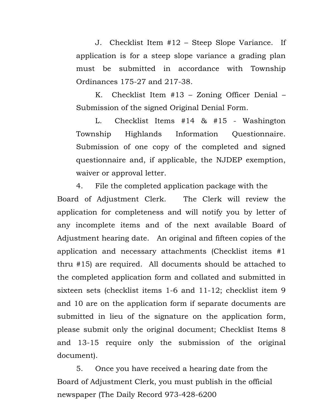J. Checklist Item #12 – Steep Slope Variance. If application is for a steep slope variance a grading plan must be submitted in accordance with Township Ordinances 175-27 and 217-38.

K. Checklist Item #13 – Zoning Officer Denial – Submission of the signed Original Denial Form.

L. Checklist Items #14 & #15 - Washington Township Highlands Information Questionnaire. Submission of one copy of the completed and signed questionnaire and, if applicable, the NJDEP exemption, waiver or approval letter.

4. File the completed application package with the Board of Adjustment Clerk. The Clerk will review the application for completeness and will notify you by letter of any incomplete items and of the next available Board of Adjustment hearing date. An original and fifteen copies of the application and necessary attachments (Checklist items #1 thru #15) are required. All documents should be attached to the completed application form and collated and submitted in sixteen sets (checklist items 1-6 and 11-12; checklist item 9 and 10 are on the application form if separate documents are submitted in lieu of the signature on the application form, please submit only the original document; Checklist Items 8 and 13-15 require only the submission of the original document).

5. Once you have received a hearing date from the Board of Adjustment Clerk, you must publish in the official newspaper (The Daily Record 973-428-6200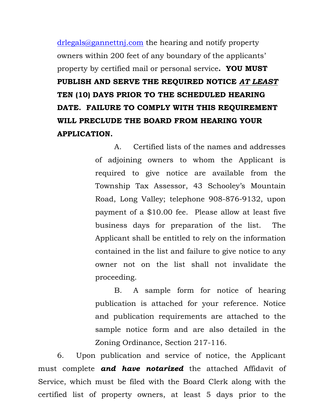drlegals@gannettnj.com the hearing and notify property owners within 200 feet of any boundary of the applicants' property by certified mail or personal service**. YOU MUST PUBLISH AND SERVE THE REQUIRED NOTICE** *AT LEAST* **TEN (10) DAYS PRIOR TO THE SCHEDULED HEARING DATE. FAILURE TO COMPLY WITH THIS REQUIREMENT WILL PRECLUDE THE BOARD FROM HEARING YOUR APPLICATION.** 

> A. Certified lists of the names and addresses of adjoining owners to whom the Applicant is required to give notice are available from the Township Tax Assessor, 43 Schooley's Mountain Road, Long Valley; telephone 908-876-9132, upon payment of a \$10.00 fee. Please allow at least five business days for preparation of the list. The Applicant shall be entitled to rely on the information contained in the list and failure to give notice to any owner not on the list shall not invalidate the proceeding.

> B. A sample form for notice of hearing publication is attached for your reference. Notice and publication requirements are attached to the sample notice form and are also detailed in the Zoning Ordinance, Section 217-116.

6. Upon publication and service of notice, the Applicant must complete *and have notarized* the attached Affidavit of Service, which must be filed with the Board Clerk along with the certified list of property owners, at least 5 days prior to the